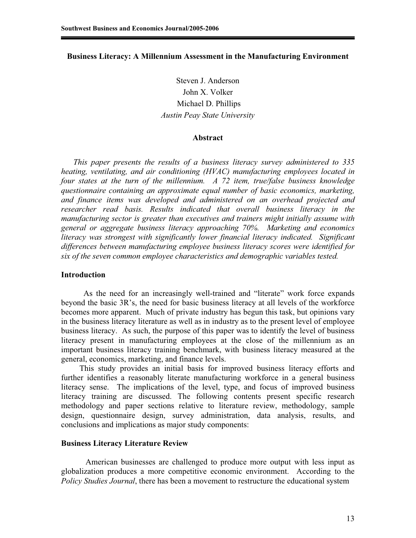# **Business Literacy: A Millennium Assessment in the Manufacturing Environment**

Steven J. Anderson John X. Volker Michael D. Phillips *Austin Peay State University* 

### **Abstract**

*This paper presents the results of a business literacy survey administered to 335 heating, ventilating, and air conditioning (HVAC) manufacturing employees located in four states at the turn of the millennium. A 72 item, true/false business knowledge questionnaire containing an approximate equal number of basic economics, marketing, and finance items was developed and administered on an overhead projected and researcher read basis. Results indicated that overall business literacy in the manufacturing sector is greater than executives and trainers might initially assume with general or aggregate business literacy approaching 70%. Marketing and economics literacy was strongest with significantly lower financial literacy indicated. Significant differences between manufacturing employee business literacy scores were identified for six of the seven common employee characteristics and demographic variables tested.* 

#### **Introduction**

 As the need for an increasingly well-trained and "literate" work force expands beyond the basic 3R's, the need for basic business literacy at all levels of the workforce becomes more apparent. Much of private industry has begun this task, but opinions vary in the business literacy literature as well as in industry as to the present level of employee business literacy. As such, the purpose of this paper was to identify the level of business literacy present in manufacturing employees at the close of the millennium as an important business literacy training benchmark, with business literacy measured at the general, economics, marketing, and finance levels.

 This study provides an initial basis for improved business literacy efforts and further identifies a reasonably literate manufacturing workforce in a general business literacy sense. The implications of the level, type, and focus of improved business literacy training are discussed. The following contents present specific research methodology and paper sections relative to literature review, methodology, sample design, questionnaire design, survey administration, data analysis, results, and conclusions and implications as major study components:

#### **Business Literacy Literature Review**

 American businesses are challenged to produce more output with less input as globalization produces a more competitive economic environment. According to the *Policy Studies Journal*, there has been a movement to restructure the educational system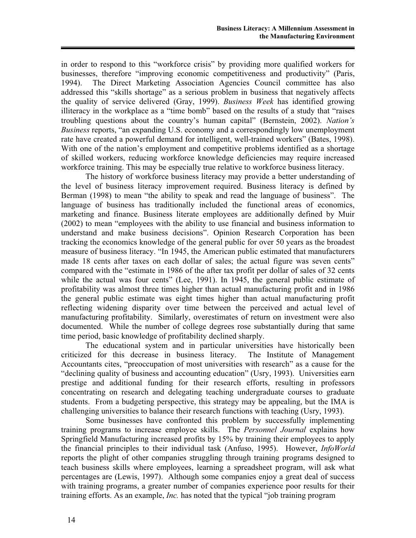in order to respond to this "workforce crisis" by providing more qualified workers for businesses, therefore "improving economic competitiveness and productivity" (Paris, 1994). The Direct Marketing Association Agencies Council committee has also addressed this "skills shortage" as a serious problem in business that negatively affects the quality of service delivered (Gray, 1999). *Business Week* has identified growing illiteracy in the workplace as a "time bomb" based on the results of a study that "raises troubling questions about the country's human capital" (Bernstein, 2002). *Nation's Business* reports, "an expanding U.S. economy and a correspondingly low unemployment rate have created a powerful demand for intelligent, well-trained workers" (Bates, 1998). With one of the nation's employment and competitive problems identified as a shortage of skilled workers, reducing workforce knowledge deficiencies may require increased workforce training. This may be especially true relative to workforce business literacy.

 The history of workforce business literacy may provide a better understanding of the level of business literacy improvement required. Business literacy is defined by Berman (1998) to mean "the ability to speak and read the language of business". The language of business has traditionally included the functional areas of economics, marketing and finance. Business literate employees are additionally defined by Muir (2002) to mean "employees with the ability to use financial and business information to understand and make business decisions". Opinion Research Corporation has been tracking the economics knowledge of the general public for over 50 years as the broadest measure of business literacy. "In 1945, the American public estimated that manufacturers made 18 cents after taxes on each dollar of sales; the actual figure was seven cents" compared with the "estimate in 1986 of the after tax profit per dollar of sales of 32 cents while the actual was four cents" (Lee, 1991). In 1945, the general public estimate of profitability was almost three times higher than actual manufacturing profit and in 1986 the general public estimate was eight times higher than actual manufacturing profit reflecting widening disparity over time between the perceived and actual level of manufacturing profitability. Similarly, overestimates of return on investment were also documented. While the number of college degrees rose substantially during that same time period, basic knowledge of profitability declined sharply.

 The educational system and in particular universities have historically been criticized for this decrease in business literacy. The Institute of Management Accountants cites, "preoccupation of most universities with research" as a cause for the "declining quality of business and accounting education" (Usry, 1993). Universities earn prestige and additional funding for their research efforts, resulting in professors concentrating on research and delegating teaching undergraduate courses to graduate students. From a budgeting perspective, this strategy may be appealing, but the IMA is challenging universities to balance their research functions with teaching (Usry, 1993).

Some businesses have confronted this problem by successfully implementing training programs to increase employee skills. The *Personnel Journal* explains how Springfield Manufacturing increased profits by 15% by training their employees to apply the financial principles to their individual task (Anfuso, 1995). However, *InfoWorld* reports the plight of other companies struggling through training programs designed to teach business skills where employees, learning a spreadsheet program, will ask what percentages are (Lewis, 1997). Although some companies enjoy a great deal of success with training programs, a greater number of companies experience poor results for their training efforts. As an example, *Inc.* has noted that the typical "job training program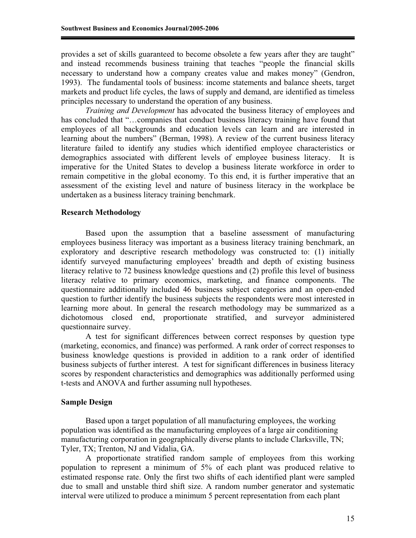provides a set of skills guaranteed to become obsolete a few years after they are taught" and instead recommends business training that teaches "people the financial skills necessary to understand how a company creates value and makes money" (Gendron, 1993). The fundamental tools of business: income statements and balance sheets, target markets and product life cycles, the laws of supply and demand, are identified as timeless principles necessary to understand the operation of any business.

*Training and Development* has advocated the business literacy of employees and has concluded that "...companies that conduct business literacy training have found that employees of all backgrounds and education levels can learn and are interested in learning about the numbers" (Berman, 1998). A review of the current business literacy literature failed to identify any studies which identified employee characteristics or demographics associated with different levels of employee business literacy. It is imperative for the United States to develop a business literate workforce in order to remain competitive in the global economy. To this end, it is further imperative that an assessment of the existing level and nature of business literacy in the workplace be undertaken as a business literacy training benchmark.

# **Research Methodology**

Based upon the assumption that a baseline assessment of manufacturing employees business literacy was important as a business literacy training benchmark, an exploratory and descriptive research methodology was constructed to: (1) initially identify surveyed manufacturing employees' breadth and depth of existing business literacy relative to 72 business knowledge questions and (2) profile this level of business literacy relative to primary economics, marketing, and finance components. The questionnaire additionally included 46 business subject categories and an open-ended question to further identify the business subjects the respondents were most interested in learning more about. In general the research methodology may be summarized as a dichotomous closed end, proportionate stratified, and surveyor administered questionnaire survey.

A test for significant differences between correct responses by question type (marketing, economics, and finance) was performed. A rank order of correct responses to business knowledge questions is provided in addition to a rank order of identified business subjects of further interest. A test for significant differences in business literacy scores by respondent characteristics and demographics was additionally performed using t-tests and ANOVA and further assuming null hypotheses.

# **Sample Design**

Based upon a target population of all manufacturing employees, the working population was identified as the manufacturing employees of a large air conditioning manufacturing corporation in geographically diverse plants to include Clarksville, TN; Tyler, TX; Trenton, NJ and Vidalia, GA.

A proportionate stratified random sample of employees from this working population to represent a minimum of 5% of each plant was produced relative to estimated response rate. Only the first two shifts of each identified plant were sampled due to small and unstable third shift size. A random number generator and systematic interval were utilized to produce a minimum 5 percent representation from each plant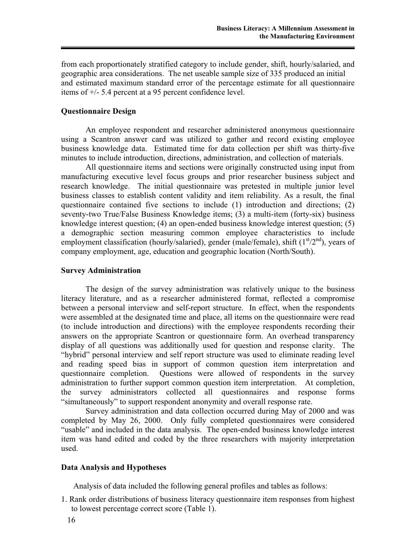from each proportionately stratified category to include gender, shift, hourly/salaried, and geographic area considerations. The net useable sample size of 335 produced an initial and estimated maximum standard error of the percentage estimate for all questionnaire items of +/- 5.4 percent at a 95 percent confidence level.

### **Questionnaire Design**

An employee respondent and researcher administered anonymous questionnaire using a Scantron answer card was utilized to gather and record existing employee business knowledge data. Estimated time for data collection per shift was thirty-five minutes to include introduction, directions, administration, and collection of materials.

All questionnaire items and sections were originally constructed using input from manufacturing executive level focus groups and prior researcher business subject and research knowledge. The initial questionnaire was pretested in multiple junior level business classes to establish content validity and item reliability. As a result, the final questionnaire contained five sections to include (1) introduction and directions; (2) seventy-two True/False Business Knowledge items; (3) a multi-item (forty-six) business knowledge interest question; (4) an open-ended business knowledge interest question; (5) a demographic section measuring common employee characteristics to include employment classification (hourly/salaried), gender (male/female), shift  $(1<sup>st</sup>/2<sup>nd</sup>)$ , years of company employment, age, education and geographic location (North/South).

#### **Survey Administration**

The design of the survey administration was relatively unique to the business literacy literature, and as a researcher administered format, reflected a compromise between a personal interview and self-report structure. In effect, when the respondents were assembled at the designated time and place, all items on the questionnaire were read (to include introduction and directions) with the employee respondents recording their answers on the appropriate Scantron or questionnaire form. An overhead transparency display of all questions was additionally used for question and response clarity. The "hybrid" personal interview and self report structure was used to eliminate reading level and reading speed bias in support of common question item interpretation and questionnaire completion. Questions were allowed of respondents in the survey administration to further support common question item interpretation. At completion, the survey administrators collected all questionnaires and response forms "simultaneously" to support respondent anonymity and overall response rate.

Survey administration and data collection occurred during May of 2000 and was completed by May 26, 2000. Only fully completed questionnaires were considered "usable" and included in the data analysis. The open-ended business knowledge interest item was hand edited and coded by the three researchers with majority interpretation used.

#### **Data Analysis and Hypotheses**

Analysis of data included the following general profiles and tables as follows:

1. Rank order distributions of business literacy questionnaire item responses from highest to lowest percentage correct score (Table 1).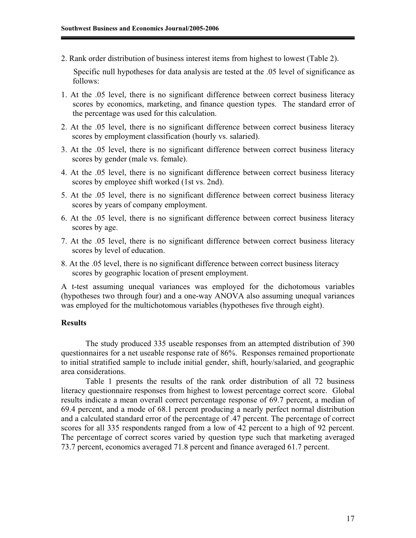2. Rank order distribution of business interest items from highest to lowest (Table 2).

Specific null hypotheses for data analysis are tested at the .05 level of significance as follows:

- 1. At the .05 level, there is no significant difference between correct business literacy scores by economics, marketing, and finance question types. The standard error of the percentage was used for this calculation.
- 2. At the .05 level, there is no significant difference between correct business literacy scores by employment classification (hourly vs. salaried).
- 3. At the .05 level, there is no significant difference between correct business literacy scores by gender (male vs. female).
- 4. At the .05 level, there is no significant difference between correct business literacy scores by employee shift worked (1st vs. 2nd).
- 5. At the .05 level, there is no significant difference between correct business literacy scores by years of company employment.
- 6. At the .05 level, there is no significant difference between correct business literacy scores by age.
- 7. At the .05 level, there is no significant difference between correct business literacy scores by level of education.
- 8. At the .05 level, there is no significant difference between correct business literacy scores by geographic location of present employment.

A t-test assuming unequal variances was employed for the dichotomous variables (hypotheses two through four) and a one-way ANOVA also assuming unequal variances was employed for the multichotomous variables (hypotheses five through eight).

# **Results**

The study produced 335 useable responses from an attempted distribution of 390 questionnaires for a net useable response rate of 86%. Responses remained proportionate to initial stratified sample to include initial gender, shift, hourly/salaried, and geographic area considerations.

Table 1 presents the results of the rank order distribution of all 72 business literacy questionnaire responses from highest to lowest percentage correct score. Global results indicate a mean overall correct percentage response of 69.7 percent, a median of 69.4 percent, and a mode of 68.1 percent producing a nearly perfect normal distribution and a calculated standard error of the percentage of .47 percent. The percentage of correct scores for all 335 respondents ranged from a low of 42 percent to a high of 92 percent. The percentage of correct scores varied by question type such that marketing averaged 73.7 percent, economics averaged 71.8 percent and finance averaged 61.7 percent.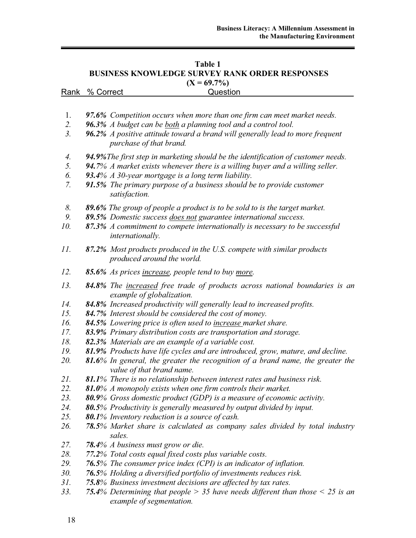| Table 1                                               |  |
|-------------------------------------------------------|--|
| <b>BUSINESS KNOWLEDGE SURVEY RANK ORDER RESPONSES</b> |  |
| $(X = 69.7\%)$                                        |  |

| $(A = 09.720)$ |                |          |  |  |  |  |  |
|----------------|----------------|----------|--|--|--|--|--|
|                | Rank % Correct | Question |  |  |  |  |  |
|                |                |          |  |  |  |  |  |
|                |                |          |  |  |  |  |  |

- 1. *97.6% Competition occurs when more than one firm can meet market needs.*
- *2. 96.3% A budget can be both a planning tool and a control tool.*
- *3. 96.2% A positive attitude toward a brand will generally lead to more frequent purchase of that brand.*
- *4. 94.9%The first step in marketing should be the identification of customer needs.*
- *5. 94.7% A market exists whenever there is a willing buyer and a willing seller.*
- *6. 93.4% A 30-year mortgage is a long term liability.*
- *7. 91.5% The primary purpose of a business should be to provide customer satisfaction.*
- *8. 89.6% The group of people a product is to be sold to is the target market.*
- *9. 89.5% Domestic success does not guarantee international success.*
- *10. 87.3% A commitment to compete internationally is necessary to be successful internationally.*
- *11. 87.2% Most products produced in the U.S. compete with similar products produced around the world.*
- *12. 85.6% As prices increase, people tend to buy more.*
- *13. 84.8% The increased free trade of products across national boundaries is an example of globalization.*
- *14. 84.8% Increased productivity will generally lead to increased profits.*
- *15. 84.7% Interest should be considered the cost of money.*
- *16. 84.5% Lowering price is often used to increase market share.*
- *17. 83.9% Primary distribution costs are transportation and storage.*
- *18. 82.3% Materials are an example of a variable cost.*
- *19. 81.9% Products have life cycles and are introduced, grow, mature, and decline.*
- *20. 81.6% In general, the greater the recognition of a brand name, the greater the value of that brand name.*
- *21. 81.1% There is no relationship between interest rates and business risk.*
- *22. 81.0% A monopoly exists when one firm controls their market.*
- *23. 80.9% Gross domestic product (GDP) is a measure of economic activity.*
- *24. 80.5% Productivity is generally measured by output divided by input.*
- *25. 80.1% Inventory reduction is a source of cash.*
- *26. 78.5% Market share is calculated as company sales divided by total industry sales.*
- *27. 78.4% A business must grow or die.*
- *28. 77.2% Total costs equal fixed costs plus variable costs.*
- *29. 76.5% The consumer price index (CPI) is an indicator of inflation.*
- *30. 76.5% Holding a diversified portfolio of investments reduces risk.*
- *31. 75.8% Business investment decisions are affected by tax rates.*
- *33. 75.4% Determining that people > 35 have needs different than those < 25 is an example of segmentation.*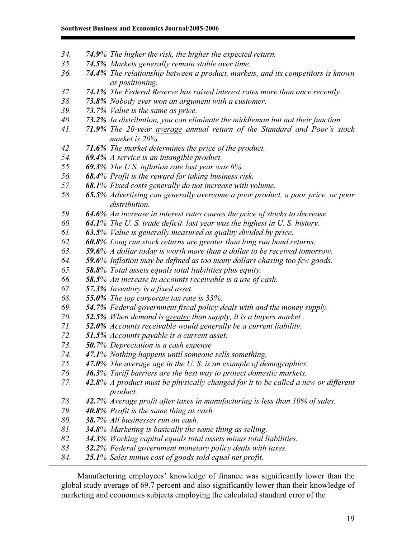- *34. 74.9% The higher the risk, the higher the expected return.*
- *35. 74.5% Markets generally remain stable over time.*
- *36. 74.4% The relationship between a product, markets, and its competitors is known as positioning.*
- *37. 74.1% The Federal Reserve has raised interest rates more than once recently.*
- *38. 73.8% Nobody ever won an argument with a customer.*
- *39. 73.7% Value is the same as price.*
- *40. 73.2% In distribution, you can eliminate the middleman but not their function.*
- *41. 71.9% The 20-year average annual return of the Standard and Poor's stock market is 20%.*
- *42. 71.6% The market determines the price of the product.*
- *54. 69.4% A service is an intangible product.*
- *55. 69.3% The U.S. inflation rate last year was 6%.*
- *56. 68.4% Profit is the reward for taking business risk.*
- *57. 68.1% Fixed costs generally do not increase with volume.*
- *58. 65.5% Advertising can generally overcome a poor product, a poor price, or poor distribution.*
- *59. 64.6% An increase in interest rates causes the price of stocks to decrease.*
- *60. 64.1% The U. S. trade deficit last year was the highest in U. S. history.*
- *61. 63.5% Value is generally measured as quality divided by price.*
- *62. 60.8% Long run stock returns are greater than long run bond returns.*
- *63. 59.6% A dollar today is worth more than a dollar to be received tomorrow.*
- *64. 59.6% Inflation may be defined as too many dollars chasing too few goods.*
- *65. 58.8% Total assets equals total liabilities plus equity.*
- *66. 58.5% An increase in accounts receivable is a use of cash.*
- *67. 57.3% Inventory is a fixed asset.*
- *68. 55.0% The top corporate tax rate is 33%.*
- *69. 54.7% Federal government fiscal policy deals with and the money supply.*
- *70. 52.5% When demand is greater than supply, it is a buyers market .*
- *71. 52.0% Accounts receivable would generally be a current liability.*
- *72. 51.5% Accounts payable is a current asset.*
- *73. 50.7% Depreciation is a cash expense*
- *74. 47.1% Nothing happens until someone sells something.*
- *75. 47.0% The average age in the U. S. is an example of demographics.*
- *76. 46.3% Tariff barriers are the best way to protect domestic markets.*
- *77. 42.8% A product must be physically changed for it to be called a new or different product.*
- *78. 42.7% Average profit after taxes in manufacturing is less than 10% of sales.*
- *79. 40.8% Profit is the same thing as cash.*
- *80. 38.7% All businesses run on cash.*
- *81. 34.8% Marketing is basically the same thing as selling.*
- *82. 34.3% Working capital equals total assets minus total liabilities.*
- *83. 32.2% Federal government monetary policy deals with taxes.*
- *84. 25.1% Sales minus cost of goods sold equal net profit.*

 Manufacturing employees' knowledge of finance was significantly lower than the global study average of 69.7 percent and also significantly lower than their knowledge of marketing and economics subjects employing the calculated standard error of the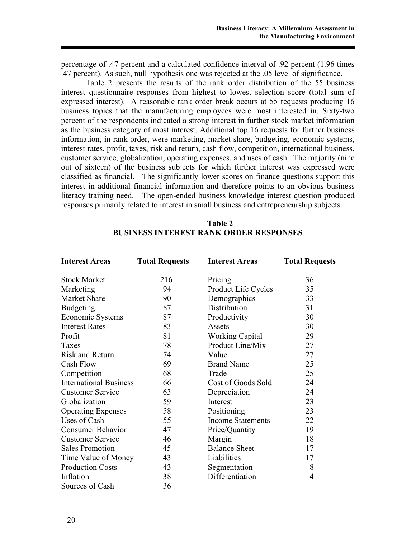percentage of .47 percent and a calculated confidence interval of .92 percent (1.96 times .47 percent). As such, null hypothesis one was rejected at the .05 level of significance.

Table 2 presents the results of the rank order distribution of the 55 business interest questionnaire responses from highest to lowest selection score (total sum of expressed interest). A reasonable rank order break occurs at 55 requests producing 16 business topics that the manufacturing employees were most interested in. Sixty-two percent of the respondents indicated a strong interest in further stock market information as the business category of most interest. Additional top 16 requests for further business information, in rank order, were marketing, market share, budgeting, economic systems, interest rates, profit, taxes, risk and return, cash flow, competition, international business, customer service, globalization, operating expenses, and uses of cash. The majority (nine out of sixteen) of the business subjects for which further interest was expressed were classified as financial. The significantly lower scores on finance questions support this interest in additional financial information and therefore points to an obvious business literacy training need. The open-ended business knowledge interest question produced responses primarily related to interest in small business and entrepreneurship subjects.

| <b>Interest Areas</b>         | <b>Total Requests</b> | <b>Interest Areas</b>    | <b>Total Requests</b> |
|-------------------------------|-----------------------|--------------------------|-----------------------|
| <b>Stock Market</b>           | 216                   | Pricing                  | 36                    |
| Marketing                     | 94                    | Product Life Cycles      | 35                    |
| <b>Market Share</b>           | 90                    | Demographics             | 33                    |
| <b>Budgeting</b>              | 87                    | Distribution             | 31                    |
| Economic Systems              | 87                    | Productivity             | 30                    |
| <b>Interest Rates</b>         | 83                    | Assets                   | 30                    |
| Profit                        | 81                    | <b>Working Capital</b>   | 29                    |
| Taxes                         | 78                    | Product Line/Mix         | 27                    |
| <b>Risk and Return</b>        | 74                    | Value                    | 27                    |
| Cash Flow                     | 69                    | <b>Brand Name</b>        | 25                    |
| Competition                   | 68                    | Trade                    | 25                    |
| <b>International Business</b> | 66                    | Cost of Goods Sold       | 24                    |
| <b>Customer Service</b>       | 63                    | Depreciation             | 24                    |
| Globalization                 | 59                    | Interest                 | 23                    |
| <b>Operating Expenses</b>     | 58                    | Positioning              | 23                    |
| Uses of Cash                  | 55                    | <b>Income Statements</b> | 22                    |
| <b>Consumer Behavior</b>      | 47                    | Price/Quantity           | 19                    |
| <b>Customer Service</b>       | 46                    | Margin                   | 18                    |
| <b>Sales Promotion</b>        | 45                    | <b>Balance Sheet</b>     | 17                    |
| Time Value of Money           | 43                    | Liabilities              | 17                    |
| <b>Production Costs</b>       | 43                    | Segmentation             | 8                     |
| Inflation                     | 38                    | Differentiation          | $\overline{4}$        |
| Sources of Cash               | 36                    |                          |                       |

**Table 2 BUSINESS INTEREST RANK ORDER RESPONSES** 

\_\_\_\_\_\_\_\_\_\_\_\_\_\_\_\_\_\_\_\_\_\_\_\_\_\_\_\_\_\_\_\_\_\_\_\_\_\_\_\_\_\_\_\_\_\_\_\_\_\_\_\_\_\_\_\_\_\_\_\_\_\_\_\_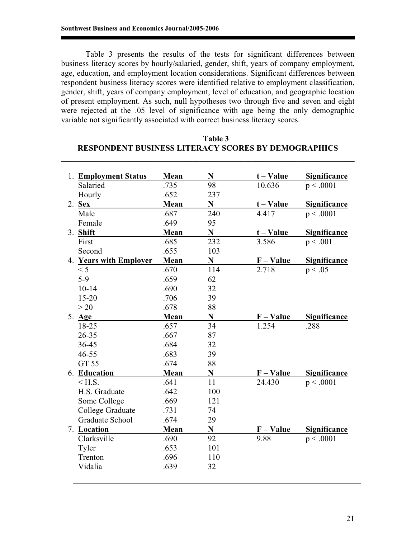Table 3 presents the results of the tests for significant differences between business literacy scores by hourly/salaried, gender, shift, years of company employment, age, education, and employment location considerations. Significant differences between respondent business literacy scores were identified relative to employment classification, gender, shift, years of company employment, level of education, and geographic location of present employment. As such, null hypotheses two through five and seven and eight were rejected at the .05 level of significance with age being the only demographic variable not significantly associated with correct business literacy scores.

| 1. Employment Status   | Mean | N           | $t - Value$ | <b>Significance</b> |
|------------------------|------|-------------|-------------|---------------------|
| Salaried               | .735 | 98          | 10.636      | p < .0001           |
| Hourly                 | .652 | 237         |             |                     |
| $2.$ Sex               | Mean | N           | $t - Value$ | <b>Significance</b> |
| Male                   | .687 | 240         | 4.417       | p < .0001           |
| Female                 | .649 | 95          |             |                     |
| 3. Shift               | Mean | N           | $t - Value$ | <b>Significance</b> |
| First                  | .685 | 232         | 3.586       | p < .001            |
| Second                 | .655 | 103         |             |                     |
| 4. Years with Employer | Mean | N           | $F - Value$ | <b>Significance</b> |
| < 5                    | .670 | 114         | 2.718       | p < .05             |
| $5-9$                  | .659 | 62          |             |                     |
| $10-14$                | .690 | 32          |             |                     |
| $15 - 20$              | .706 | 39          |             |                     |
| >20                    | .678 | 88          |             |                     |
| 5. Age                 | Mean | $\mathbf N$ | $F - Value$ | <b>Significance</b> |
| 18-25                  | .657 | 34          | 1.254       | .288                |
| 26-35                  | .667 | 87          |             |                     |
| 36-45                  | .684 | 32          |             |                     |
| $46 - 55$              | .683 | 39          |             |                     |
| GT 55                  | .674 | 88          |             |                     |
| 6. Education           | Mean | N           | F – Value   | <b>Significance</b> |
| $<$ H.S.               | .641 | 11          | 24.430      | p < .0001           |
| H.S. Graduate          | .642 | 100         |             |                     |
| Some College           | .669 | 121         |             |                     |
| College Graduate       | .731 | 74          |             |                     |
| <b>Graduate School</b> | .674 | 29          |             |                     |
| 7. Location            | Mean | N           | $F - Value$ | <b>Significance</b> |
| Clarksville            | .690 | 92          | 9.88        | p < .0001           |
| Tyler                  | .653 | 101         |             |                     |
| Trenton                | .696 | 110         |             |                     |
| Vidalia                | .639 | 32          |             |                     |
|                        |      |             |             |                     |

 **Table 3 RESPONDENT BUSINESS LITERACY SCORES BY DEMOGRAPHICS**

**\_\_\_\_\_\_\_\_\_\_\_\_\_\_\_\_\_\_\_\_\_\_\_\_\_\_\_\_\_\_\_\_\_\_\_\_\_\_\_\_\_\_\_\_\_\_\_\_\_\_\_\_\_\_\_\_\_\_\_\_\_\_\_\_\_\_\_\_\_\_\_\_**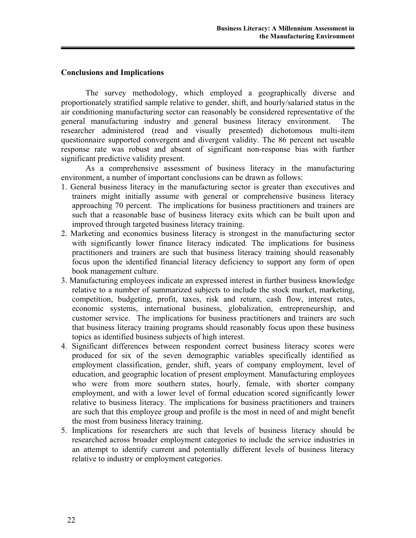### **Conclusions and Implications**

The survey methodology, which employed a geographically diverse and proportionately stratified sample relative to gender, shift, and hourly/salaried status in the air conditioning manufacturing sector can reasonably be considered representative of the general manufacturing industry and general business literacy environment. The researcher administered (read and visually presented) dichotomous multi-item questionnaire supported convergent and divergent validity. The 86 percent net useable response rate was robust and absent of significant non-response bias with further significant predictive validity present.

As a comprehensive assessment of business literacy in the manufacturing environment, a number of important conclusions can be drawn as follows:

- 1. General business literacy in the manufacturing sector is greater than executives and trainers might initially assume with general or comprehensive business literacy approaching 70 percent. The implications for business practitioners and trainers are such that a reasonable base of business literacy exits which can be built upon and improved through targeted business literacy training.
- 2. Marketing and economics business literacy is strongest in the manufacturing sector with significantly lower finance literacy indicated. The implications for business practitioners and trainers are such that business literacy training should reasonably focus upon the identified financial literacy deficiency to support any form of open book management culture.
- 3. Manufacturing employees indicate an expressed interest in further business knowledge relative to a number of summarized subjects to include the stock market, marketing, competition, budgeting, profit, taxes, risk and return, cash flow, interest rates, economic systems, international business, globalization, entrepreneurship, and customer service. The implications for business practitioners and trainers are such that business literacy training programs should reasonably focus upon these business topics as identified business subjects of high interest.
- 4. Significant differences between respondent correct business literacy scores were produced for six of the seven demographic variables specifically identified as employment classification, gender, shift, years of company employment, level of education, and geographic location of present employment. Manufacturing employees who were from more southern states, hourly, female, with shorter company employment, and with a lower level of formal education scored significantly lower relative to business literacy. The implications for business practitioners and trainers are such that this employee group and profile is the most in need of and might benefit the most from business literacy training.
- 5. Implications for researchers are such that levels of business literacy should be researched across broader employment categories to include the service industries in an attempt to identify current and potentially different levels of business literacy relative to industry or employment categories.